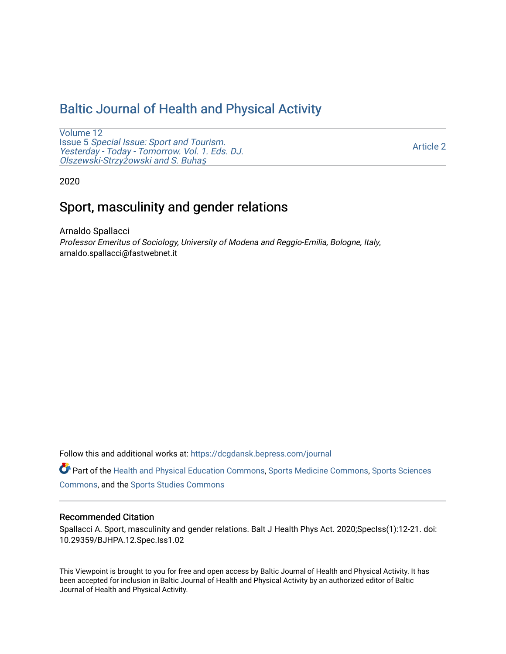# [Baltic Journal of Health and Physical Activity](https://dcgdansk.bepress.com/journal)

[Volume 12](https://dcgdansk.bepress.com/journal/vol12) Issue 5 [Special Issue: Sport and Tourism.](https://dcgdansk.bepress.com/journal/vol12/iss5)  [Yesterday - Today - Tomorrow. Vol. 1. Eds. DJ.](https://dcgdansk.bepress.com/journal/vol12/iss5)  [Olszewski-Strzy](https://dcgdansk.bepress.com/journal/vol12/iss5)żowski and S. Buhaş

[Article 2](https://dcgdansk.bepress.com/journal/vol12/iss5/2) 

2020

# Sport, masculinity and gender relations

Arnaldo Spallacci Professor Emeritus of Sociology, University of Modena and Reggio-Emilia, Bologne, Italy, arnaldo.spallacci@fastwebnet.it

Follow this and additional works at: [https://dcgdansk.bepress.com/journal](https://dcgdansk.bepress.com/journal?utm_source=dcgdansk.bepress.com%2Fjournal%2Fvol12%2Fiss5%2F2&utm_medium=PDF&utm_campaign=PDFCoverPages)

Part of the [Health and Physical Education Commons](http://network.bepress.com/hgg/discipline/1327?utm_source=dcgdansk.bepress.com%2Fjournal%2Fvol12%2Fiss5%2F2&utm_medium=PDF&utm_campaign=PDFCoverPages), [Sports Medicine Commons,](http://network.bepress.com/hgg/discipline/1331?utm_source=dcgdansk.bepress.com%2Fjournal%2Fvol12%2Fiss5%2F2&utm_medium=PDF&utm_campaign=PDFCoverPages) [Sports Sciences](http://network.bepress.com/hgg/discipline/759?utm_source=dcgdansk.bepress.com%2Fjournal%2Fvol12%2Fiss5%2F2&utm_medium=PDF&utm_campaign=PDFCoverPages) [Commons](http://network.bepress.com/hgg/discipline/759?utm_source=dcgdansk.bepress.com%2Fjournal%2Fvol12%2Fiss5%2F2&utm_medium=PDF&utm_campaign=PDFCoverPages), and the [Sports Studies Commons](http://network.bepress.com/hgg/discipline/1198?utm_source=dcgdansk.bepress.com%2Fjournal%2Fvol12%2Fiss5%2F2&utm_medium=PDF&utm_campaign=PDFCoverPages) 

#### Recommended Citation

Spallacci A. Sport, masculinity and gender relations. Balt J Health Phys Act. 2020;SpecIss(1):12-21. doi: 10.29359/BJHPA.12.Spec.Iss1.02

This Viewpoint is brought to you for free and open access by Baltic Journal of Health and Physical Activity. It has been accepted for inclusion in Baltic Journal of Health and Physical Activity by an authorized editor of Baltic Journal of Health and Physical Activity.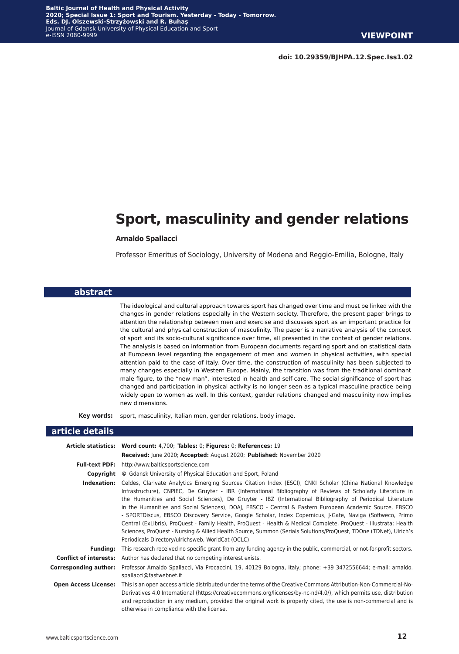# **Sport, masculinity and gender relations**

#### **Arnaldo Spallacci**

Professor Emeritus of Sociology, University of Modena and Reggio-Emilia, Bologne, Italy

#### **abstract**

The ideological and cultural approach towards sport has changed over time and must be linked with the changes in gender relations especially in the Western society. Therefore, the present paper brings to attention the relationship between men and exercise and discusses sport as an important practice for the cultural and physical construction of masculinity. The paper is a narrative analysis of the concept of sport and its socio-cultural significance over time, all presented in the context of gender relations. The analysis is based on information from European documents regarding sport and on statistical data at European level regarding the engagement of men and women in physical activities, with special attention paid to the case of Italy. Over time, the construction of masculinity has been subjected to many changes especially in Western Europe. Mainly, the transition was from the traditional dominant male figure, to the "new man", interested in health and self-care. The social significance of sport has changed and participation in physical activity is no longer seen as a typical masculine practice being widely open to women as well. In this context, gender relations changed and masculinity now implies new dimensions.

**Key words:** sport, masculinity, Italian men, gender relations, body image.

#### **article details**

|                             | Article statistics: Word count: 4,700; Tables: 0; Figures: 0; References: 19                                                                                                                                                                                                                                                                                                                                                                                                                                                                                                                                                                                                                                                                                                                                                                                  |
|-----------------------------|---------------------------------------------------------------------------------------------------------------------------------------------------------------------------------------------------------------------------------------------------------------------------------------------------------------------------------------------------------------------------------------------------------------------------------------------------------------------------------------------------------------------------------------------------------------------------------------------------------------------------------------------------------------------------------------------------------------------------------------------------------------------------------------------------------------------------------------------------------------|
|                             | Received: June 2020; Accepted: August 2020; Published: November 2020                                                                                                                                                                                                                                                                                                                                                                                                                                                                                                                                                                                                                                                                                                                                                                                          |
| <b>Full-text PDF:</b>       | http://www.balticsportscience.com                                                                                                                                                                                                                                                                                                                                                                                                                                                                                                                                                                                                                                                                                                                                                                                                                             |
|                             | <b>Copyright</b> © Gdansk University of Physical Education and Sport, Poland                                                                                                                                                                                                                                                                                                                                                                                                                                                                                                                                                                                                                                                                                                                                                                                  |
| Indexation:                 | Celdes, Clarivate Analytics Emerging Sources Citation Index (ESCI), CNKI Scholar (China National Knowledge<br>Infrastructure), CNPIEC, De Gruyter - IBR (International Bibliography of Reviews of Scholarly Literature in<br>the Humanities and Social Sciences), De Gruyter - IBZ (International Bibliography of Periodical Literature<br>in the Humanities and Social Sciences), DOAJ, EBSCO - Central & Eastern European Academic Source, EBSCO<br>- SPORTDiscus, EBSCO Discovery Service, Google Scholar, Index Copernicus, J-Gate, Naviga (Softweco, Primo<br>Central (ExLibris), ProQuest - Family Health, ProQuest - Health & Medical Complete, ProQuest - Illustrata: Health<br>Sciences, ProQuest - Nursing & Allied Health Source, Summon (Serials Solutions/ProQuest, TDOne (TDNet), Ulrich's<br>Periodicals Directory/ulrichsweb, WorldCat (OCLC) |
| <b>Funding:</b>             | This research received no specific grant from any funding agency in the public, commercial, or not-for-profit sectors.                                                                                                                                                                                                                                                                                                                                                                                                                                                                                                                                                                                                                                                                                                                                        |
|                             | <b>Conflict of interests:</b> Author has declared that no competing interest exists.                                                                                                                                                                                                                                                                                                                                                                                                                                                                                                                                                                                                                                                                                                                                                                          |
| Corresponding author:       | Professor Arnaldo Spallacci, Via Procaccini, 19, 40129 Bologna, Italy; phone: +39 3472556644; e-mail: arnaldo.<br>spallacci@fastwebnet.it                                                                                                                                                                                                                                                                                                                                                                                                                                                                                                                                                                                                                                                                                                                     |
| <b>Open Access License:</b> | This is an open access article distributed under the terms of the Creative Commons Attribution-Non-Commercial-No-<br>Derivatives 4.0 International (https://creativecommons.org/licenses/by-nc-nd/4.0/), which permits use, distribution<br>and reproduction in any medium, provided the original work is properly cited, the use is non-commercial and is<br>otherwise in compliance with the license.                                                                                                                                                                                                                                                                                                                                                                                                                                                       |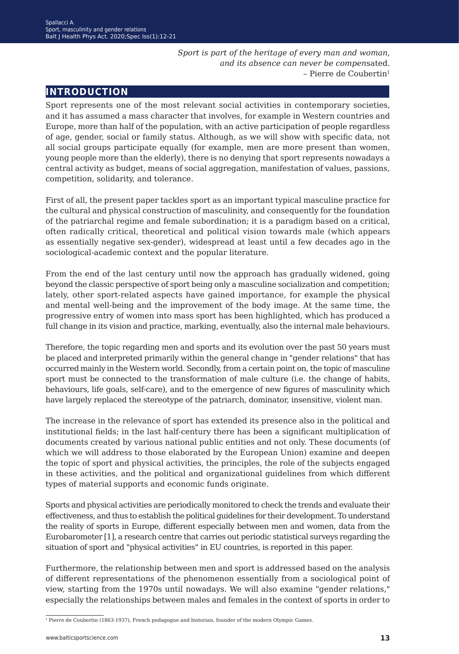*Sport is part of the heritage of every man and woman, and its absence can never be compen*sated. – Pierre de Coubertin1

# **introduction**

Sport represents one of the most relevant social activities in contemporary societies, and it has assumed a mass character that involves, for example in Western countries and Europe, more than half of the population, with an active participation of people regardless of age, gender, social or family status. Although, as we will show with specific data, not all social groups participate equally (for example, men are more present than women, young people more than the elderly), there is no denying that sport represents nowadays a central activity as budget, means of social aggregation, manifestation of values, passions, competition, solidarity, and tolerance.

First of all, the present paper tackles sport as an important typical masculine practice for the cultural and physical construction of masculinity, and consequently for the foundation of the patriarchal regime and female subordination; it is a paradigm based on a critical, often radically critical, theoretical and political vision towards male (which appears as essentially negative sex-gender), widespread at least until a few decades ago in the sociological-academic context and the popular literature.

From the end of the last century until now the approach has gradually widened, going beyond the classic perspective of sport being only a masculine socialization and competition; lately, other sport-related aspects have gained importance, for example the physical and mental well-being and the improvement of the body image. At the same time, the progressive entry of women into mass sport has been highlighted, which has produced a full change in its vision and practice, marking, eventually, also the internal male behaviours.

Therefore, the topic regarding men and sports and its evolution over the past 50 years must be placed and interpreted primarily within the general change in "gender relations" that has occurred mainly in the Western world. Secondly, from a certain point on, the topic of masculine sport must be connected to the transformation of male culture (i.e. the change of habits, behaviours, life goals, self-care), and to the emergence of new figures of masculinity which have largely replaced the stereotype of the patriarch, dominator, insensitive, violent man.

The increase in the relevance of sport has extended its presence also in the political and institutional fields; in the last half-century there has been a significant multiplication of documents created by various national public entities and not only. These documents (of which we will address to those elaborated by the European Union) examine and deepen the topic of sport and physical activities, the principles, the role of the subjects engaged in these activities, and the political and organizational guidelines from which different types of material supports and economic funds originate.

Sports and physical activities are periodically monitored to check the trends and evaluate their effectiveness, and thus to establish the political guidelines for their development. To understand the reality of sports in Europe, different especially between men and women, data from the Eurobarometer [1], a research centre that carries out periodic statistical surveys regarding the situation of sport and "physical activities" in EU countries, is reported in this paper.

Furthermore, the relationship between men and sport is addressed based on the analysis of different representations of the phenomenon essentially from a sociological point of view, starting from the 1970s until nowadays. We will also examine "gender relations," especially the relationships between males and females in the context of sports in order to

1 Pierre de Coubertin (1863-1937), French pedagogue and historian, founder of the modern Olympic Games.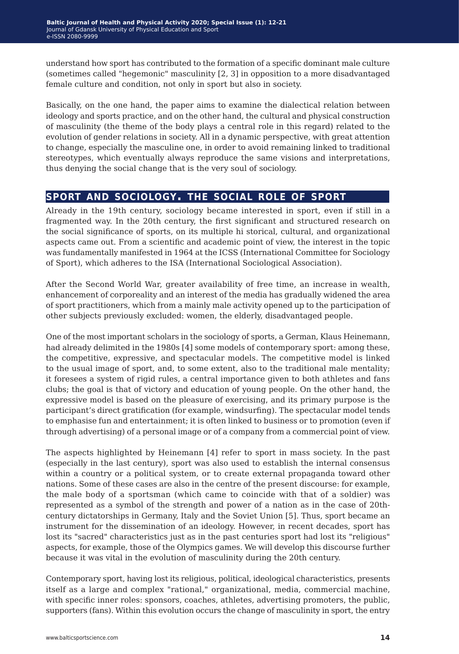understand how sport has contributed to the formation of a specific dominant male culture (sometimes called "hegemonic" masculinity [2, 3] in opposition to a more disadvantaged female culture and condition, not only in sport but also in society.

Basically, on the one hand, the paper aims to examine the dialectical relation between ideology and sports practice, and on the other hand, the cultural and physical construction of masculinity (the theme of the body plays a central role in this regard) related to the evolution of gender relations in society. All in a dynamic perspective, with great attention to change, especially the masculine one, in order to avoid remaining linked to traditional stereotypes, which eventually always reproduce the same visions and interpretations, thus denying the social change that is the very soul of sociology.

## **sport and sociology. the social role of sport**

Already in the 19th century, sociology became interested in sport, even if still in a fragmented way. In the 20th century, the first significant and structured research on the social significance of sports, on its multiple hi storical, cultural, and organizational aspects came out. From a scientific and academic point of view, the interest in the topic was fundamentally manifested in 1964 at the ICSS (International Committee for Sociology of Sport), which adheres to the ISA (International Sociological Association).

After the Second World War, greater availability of free time, an increase in wealth, enhancement of corporeality and an interest of the media has gradually widened the area of sport practitioners, which from a mainly male activity opened up to the participation of other subjects previously excluded: women, the elderly, disadvantaged people.

One of the most important scholars in the sociology of sports, a German, Klaus Heinemann, had already delimited in the 1980s [4] some models of contemporary sport: among these, the competitive, expressive, and spectacular models. The competitive model is linked to the usual image of sport, and, to some extent, also to the traditional male mentality; it foresees a system of rigid rules, a central importance given to both athletes and fans clubs; the goal is that of victory and education of young people. On the other hand, the expressive model is based on the pleasure of exercising, and its primary purpose is the participant's direct gratification (for example, windsurfing). The spectacular model tends to emphasise fun and entertainment; it is often linked to business or to promotion (even if through advertising) of a personal image or of a company from a commercial point of view.

The aspects highlighted by Heinemann [4] refer to sport in mass society. In the past (especially in the last century), sport was also used to establish the internal consensus within a country or a political system, or to create external propaganda toward other nations. Some of these cases are also in the centre of the present discourse: for example, the male body of a sportsman (which came to coincide with that of a soldier) was represented as a symbol of the strength and power of a nation as in the case of 20thcentury dictatorships in Germany, Italy and the Soviet Union [5]. Thus, sport became an instrument for the dissemination of an ideology. However, in recent decades, sport has lost its "sacred" characteristics just as in the past centuries sport had lost its "religious" aspects, for example, those of the Olympics games. We will develop this discourse further because it was vital in the evolution of masculinity during the 20th century.

Contemporary sport, having lost its religious, political, ideological characteristics, presents itself as a large and complex "rational," organizational, media, commercial machine, with specific inner roles: sponsors, coaches, athletes, advertising promoters, the public, supporters (fans). Within this evolution occurs the change of masculinity in sport, the entry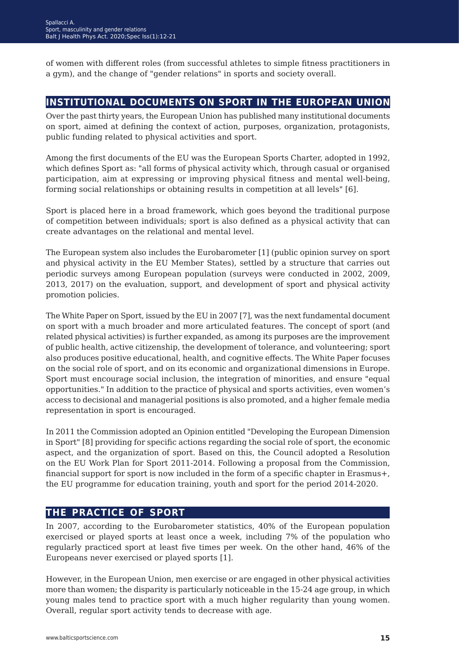of women with different roles (from successful athletes to simple fitness practitioners in a gym), and the change of "gender relations" in sports and society overall.

## **institutional documents on sport in the european union**

Over the past thirty years, the European Union has published many institutional documents on sport, aimed at defining the context of action, purposes, organization, protagonists, public funding related to physical activities and sport.

Among the first documents of the EU was the European Sports Charter, adopted in 1992, which defines Sport as: "all forms of physical activity which, through casual or organised participation, aim at expressing or improving physical fitness and mental well-being, forming social relationships or obtaining results in competition at all levels" [6].

Sport is placed here in a broad framework, which goes beyond the traditional purpose of competition between individuals; sport is also defined as a physical activity that can create advantages on the relational and mental level.

The European system also includes the Eurobarometer [1] (public opinion survey on sport and physical activity in the EU Member States), settled by a structure that carries out periodic surveys among European population (surveys were conducted in 2002, 2009, 2013, 2017) on the evaluation, support, and development of sport and physical activity promotion policies.

The White Paper on Sport, issued by the EU in 2007 [7], was the next fundamental document on sport with a much broader and more articulated features. The concept of sport (and related physical activities) is further expanded, as among its purposes are the improvement of public health, active citizenship, the development of tolerance, and volunteering; sport also produces positive educational, health, and cognitive effects. The White Paper focuses on the social role of sport, and on its economic and organizational dimensions in Europe. Sport must encourage social inclusion, the integration of minorities, and ensure "equal opportunities." In addition to the practice of physical and sports activities, even women's access to decisional and managerial positions is also promoted, and a higher female media representation in sport is encouraged.

In 2011 the Commission adopted an Opinion entitled "Developing the European Dimension in Sport" [8] providing for specific actions regarding the social role of sport, the economic aspect, and the organization of sport. Based on this, the Council adopted a Resolution on the EU Work Plan for Sport 2011-2014. Following a proposal from the Commission, financial support for sport is now included in the form of a specific chapter in Erasmus+, the EU programme for education training, youth and sport for the period 2014-2020.

## **the practice of sport**

In 2007, according to the Eurobarometer statistics, 40% of the European population exercised or played sports at least once a week, including 7% of the population who regularly practiced sport at least five times per week. On the other hand, 46% of the Europeans never exercised or played sports [1].

However, in the European Union, men exercise or are engaged in other physical activities more than women; the disparity is particularly noticeable in the 15-24 age group, in which young males tend to practice sport with a much higher regularity than young women. Overall, regular sport activity tends to decrease with age.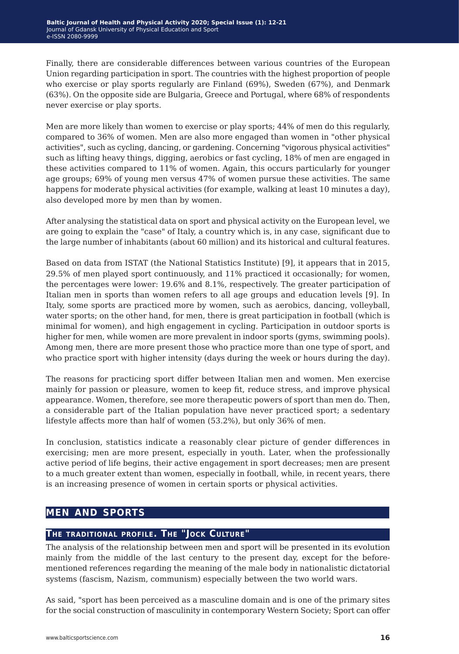Finally, there are considerable differences between various countries of the European Union regarding participation in sport. The countries with the highest proportion of people who exercise or play sports regularly are Finland (69%), Sweden (67%), and Denmark (63%). On the opposite side are Bulgaria, Greece and Portugal, where 68% of respondents never exercise or play sports.

Men are more likely than women to exercise or play sports; 44% of men do this regularly, compared to 36% of women. Men are also more engaged than women in "other physical activities", such as cycling, dancing, or gardening. Concerning "vigorous physical activities" such as lifting heavy things, digging, aerobics or fast cycling, 18% of men are engaged in these activities compared to 11% of women. Again, this occurs particularly for younger age groups; 69% of young men versus 47% of women pursue these activities. The same happens for moderate physical activities (for example, walking at least 10 minutes a day), also developed more by men than by women.

After analysing the statistical data on sport and physical activity on the European level, we are going to explain the "case" of Italy, a country which is, in any case, significant due to the large number of inhabitants (about 60 million) and its historical and cultural features.

Based on data from ISTAT (the National Statistics Institute) [9], it appears that in 2015, 29.5% of men played sport continuously, and 11% practiced it occasionally; for women, the percentages were lower: 19.6% and 8.1%, respectively. The greater participation of Italian men in sports than women refers to all age groups and education levels [9]. In Italy, some sports are practiced more by women, such as aerobics, dancing, volleyball, water sports; on the other hand, for men, there is great participation in football (which is minimal for women), and high engagement in cycling. Participation in outdoor sports is higher for men, while women are more prevalent in indoor sports (gyms, swimming pools). Among men, there are more present those who practice more than one type of sport, and who practice sport with higher intensity (days during the week or hours during the day).

The reasons for practicing sport differ between Italian men and women. Men exercise mainly for passion or pleasure, women to keep fit, reduce stress, and improve physical appearance. Women, therefore, see more therapeutic powers of sport than men do. Then, a considerable part of the Italian population have never practiced sport; a sedentary lifestyle affects more than half of women (53.2%), but only 36% of men.

In conclusion, statistics indicate a reasonably clear picture of gender differences in exercising; men are more present, especially in youth. Later, when the professionally active period of life begins, their active engagement in sport decreases; men are present to a much greater extent than women, especially in football, while, in recent years, there is an increasing presence of women in certain sports or physical activities.

# **men and sports**

#### **The traditional profile. The "Jock Culture"**

The analysis of the relationship between men and sport will be presented in its evolution mainly from the middle of the last century to the present day, except for the beforementioned references regarding the meaning of the male body in nationalistic dictatorial systems (fascism, Nazism, communism) especially between the two world wars.

As said, "sport has been perceived as a masculine domain and is one of the primary sites for the social construction of masculinity in contemporary Western Society; Sport can offer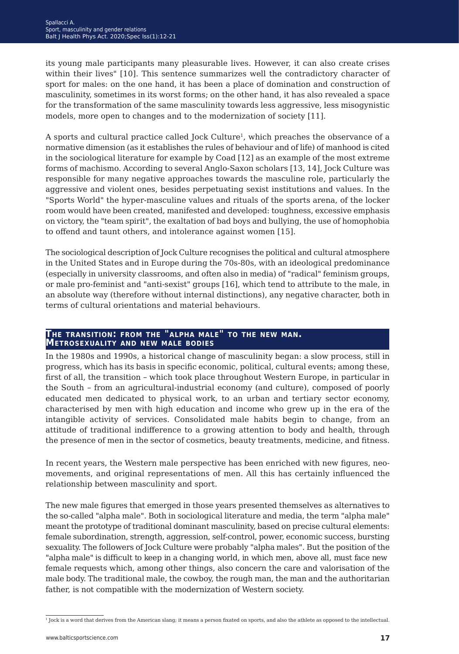its young male participants many pleasurable lives. However, it can also create crises within their lives" [10]. This sentence summarizes well the contradictory character of sport for males: on the one hand, it has been a place of domination and construction of masculinity, sometimes in its worst forms; on the other hand, it has also revealed a space for the transformation of the same masculinity towards less aggressive, less misogynistic models, more open to changes and to the modernization of society [11].

A sports and cultural practice called Jock Culture1, which preaches the observance of a normative dimension (as it establishes the rules of behaviour and of life) of manhood is cited in the sociological literature for example by Coad [12] as an example of the most extreme forms of machismo. According to several Anglo-Saxon scholars [13, 14], Jock Culture was responsible for many negative approaches towards the masculine role, particularly the aggressive and violent ones, besides perpetuating sexist institutions and values. In the "Sports World" the hyper-masculine values and rituals of the sports arena, of the locker room would have been created, manifested and developed: toughness, excessive emphasis on victory, the "team spirit", the exaltation of bad boys and bullying, the use of homophobia to offend and taunt others, and intolerance against women [15].

The sociological description of Jock Culture recognises the political and cultural atmosphere in the United States and in Europe during the 70s-80s, with an ideological predominance (especially in university classrooms, and often also in media) of "radical" feminism groups, or male pro-feminist and "anti-sexist" groups [16], which tend to attribute to the male, in an absolute way (therefore without internal distinctions), any negative character, both in terms of cultural orientations and material behaviours.

# **The transition: from the "alpha male" to the new man. Metrosexuality and new male bodies**

In the 1980s and 1990s, a historical change of masculinity began: a slow process, still in progress, which has its basis in specific economic, political, cultural events; among these, first of all, the transition *−* which took place throughout Western Europe, in particular in the South *−* from an agricultural-industrial economy (and culture), composed of poorly educated men dedicated to physical work, to an urban and tertiary sector economy, characterised by men with high education and income who grew up in the era of the intangible activity of services. Consolidated male habits begin to change, from an attitude of traditional indifference to a growing attention to body and health, through the presence of men in the sector of cosmetics, beauty treatments, medicine, and fitness.

In recent years, the Western male perspective has been enriched with new figures, neomovements, and original representations of men. All this has certainly influenced the relationship between masculinity and sport.

The new male figures that emerged in those years presented themselves as alternatives to the so-called "alpha male". Both in sociological literature and media, the term "alpha male" meant the prototype of traditional dominant masculinity, based on precise cultural elements: female subordination, strength, aggression, self-control, power, economic success, bursting sexuality. The followers of Jock Culture were probably "alpha males". But the position of the "alpha male" is difficult to keep in a changing world, in which men, above all, must face new female requests which, among other things, also concern the care and valorisation of the male body. The traditional male, the cowboy, the rough man, the man and the authoritarian father, is not compatible with the modernization of Western society.

<sup>1</sup> Jock is a word that derives from the American slang; it means a person fixated on sports, and also the athlete as opposed to the intellectual.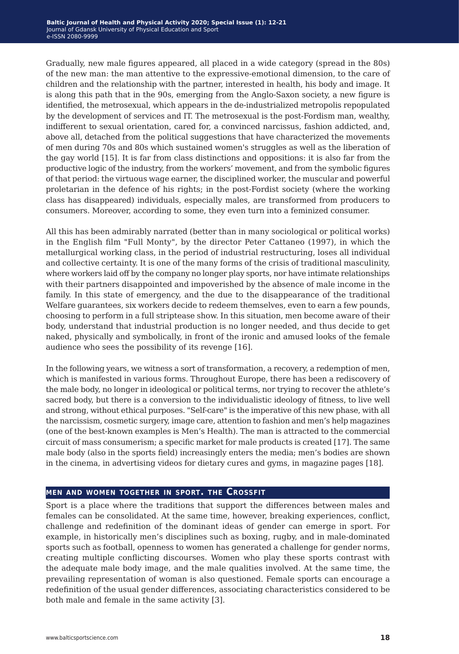Gradually, new male figures appeared, all placed in a wide category (spread in the 80s) of the new man: the man attentive to the expressive-emotional dimension, to the care of children and the relationship with the partner, interested in health, his body and image. It is along this path that in the 90s, emerging from the Anglo-Saxon society, a new figure is identified, the metrosexual, which appears in the de-industrialized metropolis repopulated by the development of services and IT. The metrosexual is the post-Fordism man, wealthy, indifferent to sexual orientation, cared for, a convinced narcissus, fashion addicted, and, above all, detached from the political suggestions that have characterized the movements of men during 70s and 80s which sustained women's struggles as well as the liberation of the gay world [15]. It is far from class distinctions and oppositions: it is also far from the productive logic of the industry, from the workers' movement, and from the symbolic figures of that period: the virtuous wage earner, the disciplined worker, the muscular and powerful proletarian in the defence of his rights; in the post-Fordist society (where the working class has disappeared) individuals, especially males, are transformed from producers to consumers. Moreover, according to some, they even turn into a feminized consumer.

All this has been admirably narrated (better than in many sociological or political works) in the English film "Full Monty", by the director Peter Cattaneo (1997), in which the metallurgical working class, in the period of industrial restructuring, loses all individual and collective certainty. It is one of the many forms of the crisis of traditional masculinity, where workers laid off by the company no longer play sports, nor have intimate relationships with their partners disappointed and impoverished by the absence of male income in the family. In this state of emergency, and the due to the disappearance of the traditional Welfare guarantees, six workers decide to redeem themselves, even to earn a few pounds, choosing to perform in a full striptease show. In this situation, men become aware of their body, understand that industrial production is no longer needed, and thus decide to get naked, physically and symbolically, in front of the ironic and amused looks of the female audience who sees the possibility of its revenge [16].

In the following years, we witness a sort of transformation, a recovery, a redemption of men, which is manifested in various forms. Throughout Europe, there has been a rediscovery of the male body, no longer in ideological or political terms, nor trying to recover the athlete's sacred body, but there is a conversion to the individualistic ideology of fitness, to live well and strong, without ethical purposes. "Self-care" is the imperative of this new phase, with all the narcissism, cosmetic surgery, image care, attention to fashion and men's help magazines (one of the best-known examples is Men's Health). The man is attracted to the commercial circuit of mass consumerism; a specific market for male products is created [17]. The same male body (also in the sports field) increasingly enters the media; men's bodies are shown in the cinema, in advertising videos for dietary cures and gyms, in magazine pages [18].

#### **men and women together in sport. the Crossfit**

Sport is a place where the traditions that support the differences between males and females can be consolidated. At the same time, however, breaking experiences, conflict, challenge and redefinition of the dominant ideas of gender can emerge in sport. For example, in historically men's disciplines such as boxing, rugby, and in male-dominated sports such as football, openness to women has generated a challenge for gender norms, creating multiple conflicting discourses. Women who play these sports contrast with the adequate male body image, and the male qualities involved. At the same time, the prevailing representation of woman is also questioned. Female sports can encourage a redefinition of the usual gender differences, associating characteristics considered to be both male and female in the same activity [3].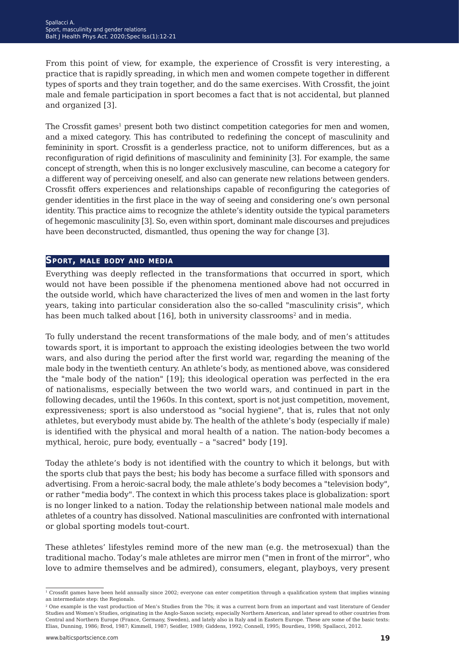From this point of view, for example, the experience of Crossfit is very interesting, a practice that is rapidly spreading, in which men and women compete together in different types of sports and they train together, and do the same exercises. With Crossfit, the joint male and female participation in sport becomes a fact that is not accidental, but planned and organized [3].

The Crossfit games<sup>1</sup> present both two distinct competition categories for men and women, and a mixed category. This has contributed to redefining the concept of masculinity and femininity in sport. Crossfit is a genderless practice, not to uniform differences, but as a reconfiguration of rigid definitions of masculinity and femininity [3]. For example, the same concept of strength, when this is no longer exclusively masculine, can become a category for a different way of perceiving oneself, and also can generate new relations between genders. Crossfit offers experiences and relationships capable of reconfiguring the categories of gender identities in the first place in the way of seeing and considering one's own personal identity. This practice aims to recognize the athlete's identity outside the typical parameters of hegemonic masculinity [3]. So, even within sport, dominant male discourses and prejudices have been deconstructed, dismantled, thus opening the way for change [3].

#### **Sport, male body and media**

Everything was deeply reflected in the transformations that occurred in sport, which would not have been possible if the phenomena mentioned above had not occurred in the outside world, which have characterized the lives of men and women in the last forty years, taking into particular consideration also the so-called "masculinity crisis", which has been much talked about [16], both in university classrooms<sup>2</sup> and in media.

To fully understand the recent transformations of the male body, and of men's attitudes towards sport, it is important to approach the existing ideologies between the two world wars, and also during the period after the first world war, regarding the meaning of the male body in the twentieth century. An athlete's body, as mentioned above, was considered the "male body of the nation" [19]; this ideological operation was perfected in the era of nationalisms, especially between the two world wars, and continued in part in the following decades, until the 1960s. In this context, sport is not just competition, movement, expressiveness; sport is also understood as "social hygiene", that is, rules that not only athletes, but everybody must abide by. The health of the athlete's body (especially if male) is identified with the physical and moral health of a nation. The nation-body becomes a mythical, heroic, pure body, eventually – a "sacred" body [19].

Today the athlete's body is not identified with the country to which it belongs, but with the sports club that pays the best; his body has become a surface filled with sponsors and advertising. From a heroic-sacral body, the male athlete's body becomes a "television body", or rather "media body". The context in which this process takes place is globalization: sport is no longer linked to a nation. Today the relationship between national male models and athletes of a country has dissolved. National masculinities are confronted with international or global sporting models tout-court.

These athletes' lifestyles remind more of the new man (e.g. the metrosexual) than the traditional macho. Today's male athletes are mirror men ("men in front of the mirror", who love to admire themselves and be admired), consumers, elegant, playboys, very present

<sup>&</sup>lt;sup>1</sup> Crossfit games have been held annually since 2002; everyone can enter competition through a qualification system that implies winning an intermediate step: the Regionals.

 $2$  One example is the vast production of Men's Studies from the 70s; it was a current born from an important and vast literature of Gender Studies and Women's Studies, originating in the Anglo-Saxon society, especially Northern American, and later spread to other countries from Central and Northern Europe (France, Germany, Sweden), and lately also in Italy and in Eastern Europe. These are some of the basic texts: Elias, Dunning, 1986; Brod, 1987; Kimmell, 1987; Seidler, 1989; Giddens, 1992; Connell, 1995; Bourdieu, 1998; Spallacci, 2012.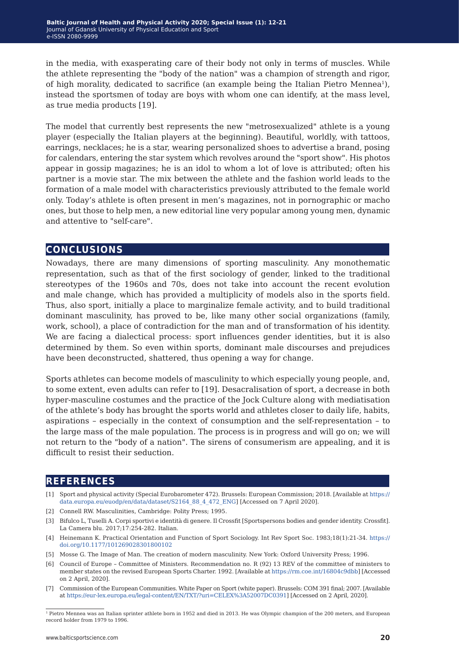in the media, with exasperating care of their body not only in terms of muscles. While the athlete representing the "body of the nation" was a champion of strength and rigor, of high morality, dedicated to sacrifice (an example being the Italian Pietro Mennea1), instead the sportsmen of today are boys with whom one can identify, at the mass level, as true media products [19].

The model that currently best represents the new "metrosexualized" athlete is a young player (especially the Italian players at the beginning). Beautiful, worldly, with tattoos, earrings, necklaces; he is a star, wearing personalized shoes to advertise a brand, posing for calendars, entering the star system which revolves around the "sport show". His photos appear in gossip magazines; he is an idol to whom a lot of love is attributed; often his partner is a movie star. The mix between the athlete and the fashion world leads to the formation of a male model with characteristics previously attributed to the female world only. Today's athlete is often present in men's magazines, not in pornographic or macho ones, but those to help men, a new editorial line very popular among young men, dynamic and attentive to "self-care".

#### **conclusions**

Nowadays, there are many dimensions of sporting masculinity. Any monothematic representation, such as that of the first sociology of gender, linked to the traditional stereotypes of the 1960s and 70s, does not take into account the recent evolution and male change, which has provided a multiplicity of models also in the sports field. Thus, also sport, initially a place to marginalize female activity, and to build traditional dominant masculinity, has proved to be, like many other social organizations (family, work, school), a place of contradiction for the man and of transformation of his identity. We are facing a dialectical process: sport influences gender identities, but it is also determined by them. So even within sports, dominant male discourses and prejudices have been deconstructed, shattered, thus opening a way for change.

Sports athletes can become models of masculinity to which especially young people, and, to some extent, even adults can refer to [19]. Desacralisation of sport, a decrease in both hyper-masculine costumes and the practice of the Jock Culture along with mediatisation of the athlete's body has brought the sports world and athletes closer to daily life, habits, aspirations – especially in the context of consumption and the self-representation – to the large mass of the male population. The process is in progress and will go on; we will not return to the "body of a nation". The sirens of consumerism are appealing, and it is difficult to resist their seduction.

## **references**

- [1] Sport and physical activity (Special Eurobarometer 472). Brussels: European Commission; 2018. [Available at [https://](https://data.europa.eu/euodp/en/data/dataset/S2164_88_4_472_ENG) [data.europa.eu/euodp/en/data/dataset/S2164\\_88\\_4\\_472\\_ENG\]](https://data.europa.eu/euodp/en/data/dataset/S2164_88_4_472_ENG) [Accessed on 7 April 2020].
- [2] Connell RW. Masculinities, Cambridge: Polity Press; 1995.
- [3] Bifulco L, Tuselli A. Corpi sportivi e identità di genere. Il Crossfit [Sportspersons bodies and gender identity. Crossfit]. La Camera blu. 2017;17:254-282. Italian.
- [4] Heinemann K. Practical Orientation and Function of Sport Sociology. Int Rev Sport Soc. 1983;18(1):21-34. [https://](https://doi.org/10.1177/101269028301800102 ) [doi.org/10.1177/101269028301800102](https://doi.org/10.1177/101269028301800102 )
- [5] Mosse G. The Image of Man. The creation of modern masculinity. New York: Oxford University Press; 1996.
- [6] Council of Europe *−* Committee of Ministers. Recommendation no. R (92) 13 REV of the committee of ministers to member states on the revised European Sports Charter. 1992. [Available at<https://rm.coe.int/16804c9dbb>] [Accessed on 2 April, 2020].
- [7] Commission of the European Communities. White Paper on Sport (white paper). Brussels: COM 391 final; 2007. [Available at<https://eur-lex.europa.eu/legal-content/EN/TXT/?uri=CELEX%3A52007DC0391>] [Accessed on 2 April, 2020].

<sup>1</sup> Pietro Mennea was an Italian sprinter athlete born in 1952 and died in 2013. He was Olympic champion of the 200 meters, and European record holder from 1979 to 1996.